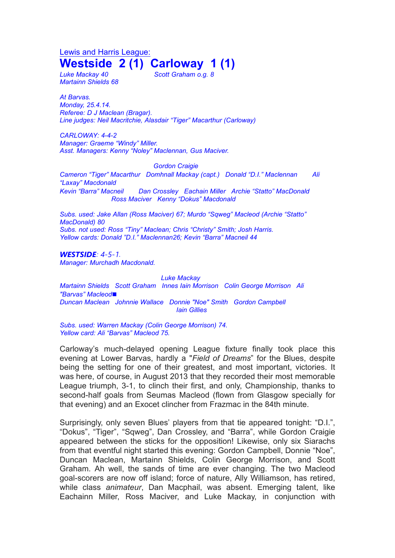Lewis and Harris League: **Westside 2 (1) Carloway 1 (1)**

*Martainn Shields 68*

*Luke Mackay 40 Scott Graham o.g. 8*

*At Barvas. Monday, 25.4.14. Referee: D J Maclean (Bragar). Line judges: Neil Macritchie, Alasdair "Tiger" Macarthur (Carloway)*

*CARLOWAY: 4-4-2 Manager: Graeme "Windy" Miller. Asst. Managers: Kenny "Noley" Maclennan, Gus Maciver.*

*Gordon Craigie*

*Cameron "Tiger" Macarthur Domhnall Mackay (capt.) Donald "D.I." Maclennan Ali "Laxay" Macdonald*

*Kevin "Barra" Macneil Dan Crossley Eachain Miller Archie "Statto" MacDonald Ross Maciver Kenny "Dokus" Macdonald*

*Subs. used: Jake Allan (Ross Maciver) 67; Murdo "Sqweg" Macleod (Archie "Statto" MacDonald) 80 Subs. not used: Ross "Tiny" Maclean; Chris "Christy" Smith; Josh Harris. Yellow cards: Donald "D.I." Maclennan26; Kevin "Barra" Macneil 44*

*WESTSIDE: 4-5-1.*

*Manager: Murchadh Macdonald.*

*Luke Mackay Martainn Shields Scott Graham Innes Iain Morrison Colin George Morrison Ali "Barvas" Macleod*◼ *Duncan Maclean Johnnie Wallace Donnie "Noe" Smith Gordon Campbell Iain Gillies*

*Subs. used: Warren Mackay (Colin George Morrison) 74. Yellow card: Ali "Barvas" Macleod 75.*

Carloway's much-delayed opening League fixture finally took place this evening at Lower Barvas, hardly a "*Field of Dreams*" for the Blues, despite being the setting for one of their greatest, and most important, victories. It was here, of course, in August 2013 that they recorded their most memorable League triumph, 3-1, to clinch their first, and only, Championship, thanks to second-half goals from Seumas Macleod (flown from Glasgow specially for that evening) and an Exocet clincher from Frazmac in the 84th minute.

Surprisingly, only seven Blues' players from that tie appeared tonight: "D.I.", "Dokus", "Tiger", "Sqweg", Dan Crossley, and "Barra", while Gordon Craigie appeared between the sticks for the opposition! Likewise, only six Siarachs from that eventful night started this evening: Gordon Campbell, Donnie "Noe", Duncan Maclean, Martainn Shields, Colin George Morrison, and Scott Graham. Ah well, the sands of time are ever changing. The two Macleod goal-scorers are now off island; force of nature, Ally Williamson, has retired, while class *animateur*, Dan Macphail, was absent. Emerging talent, like Eachainn Miller, Ross Maciver, and Luke Mackay, in conjunction with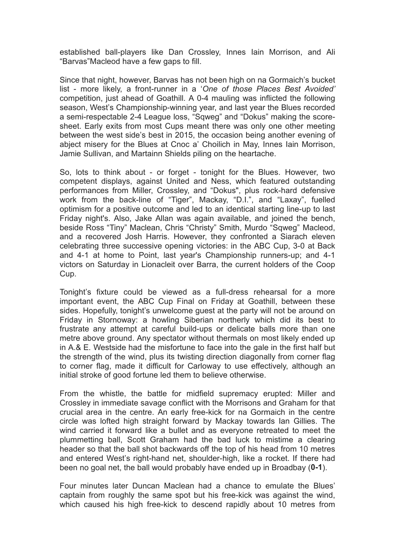established ball-players like Dan Crossley, Innes Iain Morrison, and Ali "Barvas"Macleod have a few gaps to fill.

Since that night, however, Barvas has not been high on na Gormaich's bucket list - more likely, a front-runner in a '*One of those Places Best Avoided'* competition, just ahead of Goathill. A 0-4 mauling was inflicted the following season, West's Championship-winning year, and last year the Blues recorded a semi-respectable 2-4 League loss, "Sqweg" and "Dokus" making the scoresheet. Early exits from most Cups meant there was only one other meeting between the west side's best in 2015, the occasion being another evening of abject misery for the Blues at Cnoc a' Choilich in May, Innes Iain Morrison, Jamie Sullivan, and Martainn Shields piling on the heartache.

So, lots to think about - or forget - tonight for the Blues. However, two competent displays, against United and Ness, which featured outstanding performances from Miller, Crossley, and "Dokus", plus rock-hard defensive work from the back-line of "Tiger", Mackay, "D.I.", and "Laxay", fuelled optimism for a positive outcome and led to an identical starting line-up to last Friday night's. Also, Jake Allan was again available, and joined the bench, beside Ross "Tiny" Maclean, Chris "Christy" Smith, Murdo "Sqweg" Macleod, and a recovered Josh Harris. However, they confronted a Siarach eleven celebrating three successive opening victories: in the ABC Cup, 3-0 at Back and 4-1 at home to Point, last year's Championship runners-up; and 4-1 victors on Saturday in Lionacleit over Barra, the current holders of the Coop Cup.

Tonight's fixture could be viewed as a full-dress rehearsal for a more important event, the ABC Cup Final on Friday at Goathill, between these sides. Hopefully, tonight's unwelcome quest at the party will not be around on Friday in Stornoway: a howling Siberian northerly which did its best to frustrate any attempt at careful build-ups or delicate balls more than one metre above ground. Any spectator without thermals on most likely ended up in A.& E. Westside had the misfortune to face into the gale in the first half but the strength of the wind, plus its twisting direction diagonally from corner flag to corner flag, made it difficult for Carloway to use effectively, although an initial stroke of good fortune led them to believe otherwise.

From the whistle, the battle for midfield supremacy erupted: Miller and Crossley in immediate savage conflict with the Morrisons and Graham for that crucial area in the centre. An early free-kick for na Gormaich in the centre circle was lofted high straight forward by Mackay towards Ian Gillies. The wind carried it forward like a bullet and as everyone retreated to meet the plummetting ball, Scott Graham had the bad luck to mistime a clearing header so that the ball shot backwards off the top of his head from 10 metres and entered West's right-hand net, shoulder-high, like a rocket. If there had been no goal net, the ball would probably have ended up in Broadbay (**0-1**).

Four minutes later Duncan Maclean had a chance to emulate the Blues' captain from roughly the same spot but his free-kick was against the wind, which caused his high free-kick to descend rapidly about 10 metres from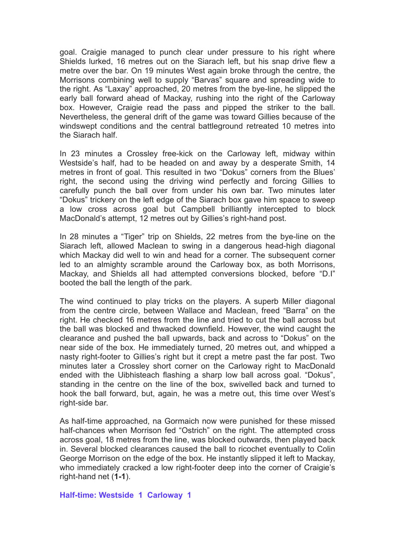goal. Craigie managed to punch clear under pressure to his right where Shields lurked, 16 metres out on the Siarach left, but his snap drive flew a metre over the bar. On 19 minutes West again broke through the centre, the Morrisons combining well to supply "Barvas" square and spreading wide to the right. As "Laxay" approached, 20 metres from the bye-line, he slipped the early ball forward ahead of Mackay, rushing into the right of the Carloway box. However, Craigie read the pass and pipped the striker to the ball. Nevertheless, the general drift of the game was toward Gillies because of the windswept conditions and the central battleground retreated 10 metres into the Siarach half.

In 23 minutes a Crossley free-kick on the Carloway left, midway within Westside's half, had to be headed on and away by a desperate Smith, 14 metres in front of goal. This resulted in two "Dokus" corners from the Blues' right, the second using the driving wind perfectly and forcing Gillies to carefully punch the ball over from under his own bar. Two minutes later "Dokus" trickery on the left edge of the Siarach box gave him space to sweep a low cross across goal but Campbell brilliantly intercepted to block MacDonald's attempt, 12 metres out by Gillies's right-hand post.

In 28 minutes a "Tiger" trip on Shields, 22 metres from the bye-line on the Siarach left, allowed Maclean to swing in a dangerous head-high diagonal which Mackay did well to win and head for a corner. The subsequent corner led to an almighty scramble around the Carloway box, as both Morrisons, Mackay, and Shields all had attempted conversions blocked, before "D.I" booted the ball the length of the park.

The wind continued to play tricks on the players. A superb Miller diagonal from the centre circle, between Wallace and Maclean, freed "Barra" on the right. He checked 16 metres from the line and tried to cut the ball across but the ball was blocked and thwacked downfield. However, the wind caught the clearance and pushed the ball upwards, back and across to "Dokus" on the near side of the box. He immediately turned, 20 metres out, and whipped a nasty right-footer to Gillies's right but it crept a metre past the far post. Two minutes later a Crossley short corner on the Carloway right to MacDonald ended with the Uibhisteach flashing a sharp low ball across goal. "Dokus", standing in the centre on the line of the box, swivelled back and turned to hook the ball forward, but, again, he was a metre out, this time over West's right-side bar.

As half-time approached, na Gormaich now were punished for these missed half-chances when Morrison fed "Ostrich" on the right. The attempted cross across goal, 18 metres from the line, was blocked outwards, then played back in. Several blocked clearances caused the ball to ricochet eventually to Colin George Morrison on the edge of the box. He instantly slipped it left to Mackay, who immediately cracked a low right-footer deep into the corner of Craigie's right-hand net (**1-1**).

## **Half-time: Westside 1 Carloway 1**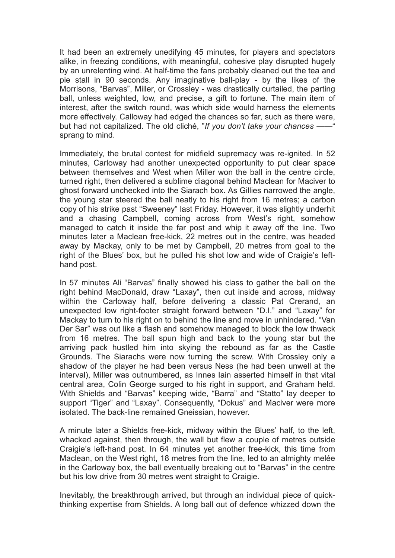It had been an extremely unedifying 45 minutes, for players and spectators alike, in freezing conditions, with meaningful, cohesive play disrupted hugely by an unrelenting wind. At half-time the fans probably cleaned out the tea and pie stall in 90 seconds. Any imaginative ball-play - by the likes of the Morrisons, "Barvas", Miller, or Crossley - was drastically curtailed, the parting ball, unless weighted, low, and precise, a gift to fortune. The main item of interest, after the switch round, was which side would harness the elements more effectively. Calloway had edged the chances so far, such as there were, but had not capitalized. The old cliché, "*If you don't take your chances ——*" sprang to mind.

Immediately, the brutal contest for midfield supremacy was re-ignited. In 52 minutes, Carloway had another unexpected opportunity to put clear space between themselves and West when Miller won the ball in the centre circle, turned right, then delivered a sublime diagonal behind Maclean for Maciver to ghost forward unchecked into the Siarach box. As Gillies narrowed the angle, the young star steered the ball neatly to his right from 16 metres; a carbon copy of his strike past "Sweeney" last Friday. However, it was slightly underhit and a chasing Campbell, coming across from West's right, somehow managed to catch it inside the far post and whip it away off the line. Two minutes later a Maclean free-kick, 22 metres out in the centre, was headed away by Mackay, only to be met by Campbell, 20 metres from goal to the right of the Blues' box, but he pulled his shot low and wide of Craigie's lefthand post.

In 57 minutes Ali "Barvas" finally showed his class to gather the ball on the right behind MacDonald, draw "Laxay", then cut inside and across, midway within the Carloway half, before delivering a classic Pat Crerand, an unexpected low right-footer straight forward between "D.I." and "Laxay" for Mackay to turn to his right on to behind the line and move in unhindered. "Van Der Sar" was out like a flash and somehow managed to block the low thwack from 16 metres. The ball spun high and back to the young star but the arriving pack hustled him into skying the rebound as far as the Castle Grounds. The Siarachs were now turning the screw. With Crossley only a shadow of the player he had been versus Ness (he had been unwell at the interval), Miller was outnumbered, as Innes Iain asserted himself in that vital central area, Colin George surged to his right in support, and Graham held. With Shields and "Barvas" keeping wide, "Barra" and "Statto" lay deeper to support "Tiger" and "Laxay". Consequently, "Dokus" and Maciver were more isolated. The back-line remained Gneissian, however.

A minute later a Shields free-kick, midway within the Blues' half, to the left, whacked against, then through, the wall but flew a couple of metres outside Craigie's left-hand post. In 64 minutes yet another free-kick, this time from Maclean, on the West right, 18 metres from the line, led to an almighty melée in the Carloway box, the ball eventually breaking out to "Barvas" in the centre but his low drive from 30 metres went straight to Craigie.

Inevitably, the breakthrough arrived, but through an individual piece of quickthinking expertise from Shields. A long ball out of defence whizzed down the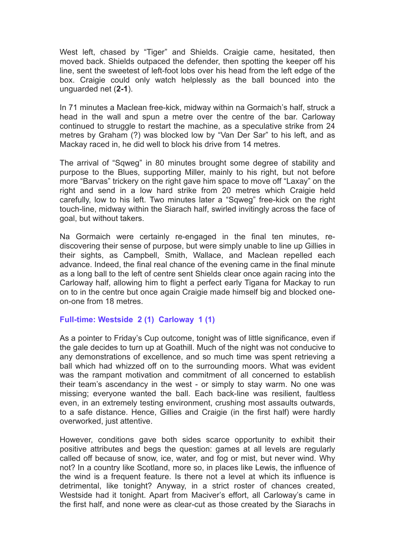West left, chased by "Tiger" and Shields. Craigie came, hesitated, then moved back. Shields outpaced the defender, then spotting the keeper off his line, sent the sweetest of left-foot lobs over his head from the left edge of the box. Craigie could only watch helplessly as the ball bounced into the unguarded net (**2-1**).

In 71 minutes a Maclean free-kick, midway within na Gormaich's half, struck a head in the wall and spun a metre over the centre of the bar. Carloway continued to struggle to restart the machine, as a speculative strike from 24 metres by Graham (?) was blocked low by "Van Der Sar" to his left, and as Mackay raced in, he did well to block his drive from 14 metres.

The arrival of "Sqweg" in 80 minutes brought some degree of stability and purpose to the Blues, supporting Miller, mainly to his right, but not before more "Barvas" trickery on the right gave him space to move off "Laxay" on the right and send in a low hard strike from 20 metres which Craigie held carefully, low to his left. Two minutes later a "Sqweg" free-kick on the right touch-line, midway within the Siarach half, swirled invitingly across the face of goal, but without takers.

Na Gormaich were certainly re-engaged in the final ten minutes, rediscovering their sense of purpose, but were simply unable to line up Gillies in their sights, as Campbell, Smith, Wallace, and Maclean repelled each advance. Indeed, the final real chance of the evening came in the final minute as a long ball to the left of centre sent Shields clear once again racing into the Carloway half, allowing him to flight a perfect early Tigana for Mackay to run on to in the centre but once again Craigie made himself big and blocked oneon-one from 18 metres.

## **Full-time: Westside 2 (1) Carloway 1 (1)**

As a pointer to Friday's Cup outcome, tonight was of little significance, even if the gale decides to turn up at Goathill. Much of the night was not conducive to any demonstrations of excellence, and so much time was spent retrieving a ball which had whizzed off on to the surrounding moors. What was evident was the rampant motivation and commitment of all concerned to establish their team's ascendancy in the west - or simply to stay warm. No one was missing; everyone wanted the ball. Each back-line was resilient, faultless even, in an extremely testing environment, crushing most assaults outwards, to a safe distance. Hence, Gillies and Craigie (in the first half) were hardly overworked, just attentive.

However, conditions gave both sides scarce opportunity to exhibit their positive attributes and begs the question: games at all levels are regularly called off because of snow, ice, water, and fog or mist, but never wind. Why not? In a country like Scotland, more so, in places like Lewis, the influence of the wind is a frequent feature. Is there not a level at which its influence is detrimental, like tonight? Anyway, in a strict roster of chances created, Westside had it tonight. Apart from Maciver's effort, all Carloway's came in the first half, and none were as clear-cut as those created by the Siarachs in